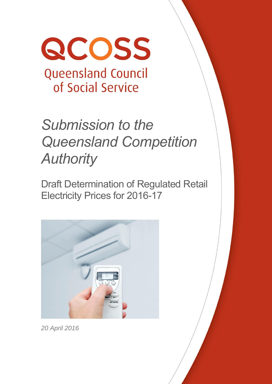

# *Submission to the Queensland Competition Authority*

Draft Determination of Regulated Retail Electricity Prices for 2016-17



*20 April 2016*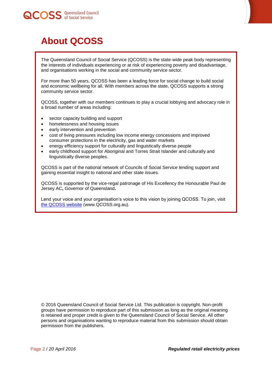



# <span id="page-1-0"></span>**About QCOSS**

The Queensland Council of Social Service (QCOSS) is the state-wide peak body representing the interests of individuals experiencing or at risk of experiencing poverty and disadvantage, and organisations working in the social and community service sector.

For more than 50 years, QCOSS has been a leading force for social change to build social and economic wellbeing for all. With members across the state, QCOSS supports a strong community service sector.

QCOSS, together with our members continues to play a crucial lobbying and advocacy role in a broad number of areas including:

- sector capacity building and support
- homelessness and housing issues
- early intervention and prevention
- cost of living pressures including low income energy concessions and improved consumer protections in the electricity, gas and water markets
- energy efficiency support for culturally and linguistically diverse people
- early childhood support for Aboriginal and Torres Strait Islander and culturally and linguistically diverse peoples.

QCOSS is part of the national network of Councils of Social Service lending support and gaining essential insight to national and other state issues.

QCOSS is supported by the vice-regal patronage of His Excellency the Honourable Paul de Jersey AC**,** [Governor of Queensland](http://www.govhouse.qld.gov.au/)**.**

Lend your voice and your organisation's voice to this vision by joining QCOSS. To join, visit [the QCOSS website](http://www.qcoss.org.au/) (www.QCOSS.org.au).

© 2016 Queensland Council of Social Service Ltd. This publication is copyright. Non-profit groups have permission to reproduce part of this submission as long as the original meaning is retained and proper credit is given to the Queensland Council of Social Service. All other persons and organisations wanting to reproduce material from this submission should obtain permission from the publishers.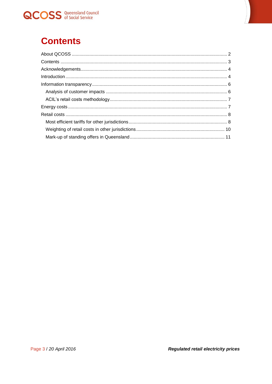



# <span id="page-2-0"></span>**Contents**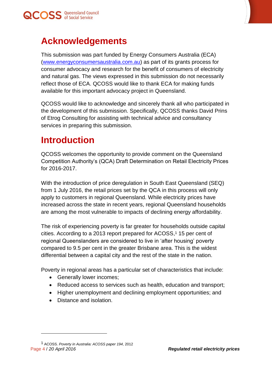



## <span id="page-3-0"></span>**Acknowledgements**

This submission was part funded by Energy Consumers Australia (ECA) [\(www.energyconsumersaustralia.com.au\)](http://www.energyconsumersaustralia.com.au/) as part of its grants process for consumer advocacy and research for the benefit of consumers of electricity and natural gas. The views expressed in this submission do not necessarily reflect those of ECA. QCOSS would like to thank ECA for making funds available for this important advocacy project in Queensland.

QCOSS would like to acknowledge and sincerely thank all who participated in the development of this submission. Specifically, QCOSS thanks David Prins of Etrog Consulting for assisting with technical advice and consultancy services in preparing this submission.

# <span id="page-3-1"></span>**Introduction**

QCOSS welcomes the opportunity to provide comment on the Queensland Competition Authority's (QCA) Draft Determination on Retail Electricity Prices for 2016-2017.

With the introduction of price deregulation in South East Queensland (SEQ) from 1 July 2016, the retail prices set by the QCA in this process will only apply to customers in regional Queensland. While electricity prices have increased across the state in recent years, regional Queensland households are among the most vulnerable to impacts of declining energy affordability.

The risk of experiencing poverty is far greater for households outside capital cities. According to a 2013 report prepared for ACOSS, <sup>1</sup> 15 per cent of regional Queenslanders are considered to live in 'after housing' poverty compared to 9.5 per cent in the greater Brisbane area. This is the widest differential between a capital city and the rest of the state in the nation.

Poverty in regional areas has a particular set of characteristics that include:

- Generally lower incomes;
- Reduced access to services such as health, education and transport;
- Higher unemployment and declining employment opportunities: and
- Distance and isolation.

 $\overline{a}$ 

Page 4 / *20 April 2016 Regulated retail electricity prices* 1 ACOSS. *Poverty in Australia: ACOSS paper 194*, 2012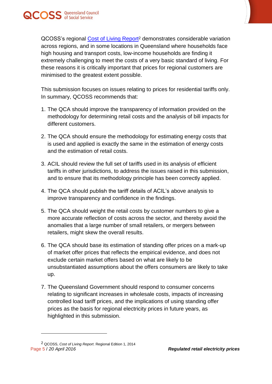



QCOSS's regional [Cost of Living Report](https://www.qcoss.org.au/sites/default/files/20141215_CoL_Report_Regional_FINAL.pdf)<sup>2</sup> demonstrates considerable variation across regions, and in some locations in Queensland where households face high housing and transport costs, low-income households are finding it extremely challenging to meet the costs of a very basic standard of living. For these reasons it is critically important that prices for regional customers are minimised to the greatest extent possible.

This submission focuses on issues relating to prices for residential tariffs only. In summary, QCOSS recommends that:

- 1. The QCA should improve the transparency of information provided on the methodology for determining retail costs and the analysis of bill impacts for different customers.
- 2. The QCA should ensure the methodology for estimating energy costs that is used and applied is exactly the same in the estimation of energy costs and the estimation of retail costs.
- 3. ACIL should review the full set of tariffs used in its analysis of efficient tariffs in other jurisdictions, to address the issues raised in this submission, and to ensure that its methodology principle has been correctly applied.
- 4. The QCA should publish the tariff details of ACIL's above analysis to improve transparency and confidence in the findings.
- 5. The QCA should weight the retail costs by customer numbers to give a more accurate reflection of costs across the sector, and thereby avoid the anomalies that a large number of small retailers, or mergers between retailers, might skew the overall results.
- 6. The QCA should base its estimation of standing offer prices on a mark-up of market offer prices that reflects the empirical evidence, and does not exclude certain market offers based on what are likely to be unsubstantiated assumptions about the offers consumers are likely to take up.
- 7. The Queensland Government should respond to consumer concerns relating to significant increases in wholesale costs, impacts of increasing controlled load tariff prices, and the implications of using standing offer prices as the basis for regional electricity prices in future years, as highlighted in this submission.

 $\overline{a}$ 

Page 5 / *20 April 2016 Regulated retail electricity prices* 2 QCOSS, *Cost of Living Report*. Regional Edition 1, 2014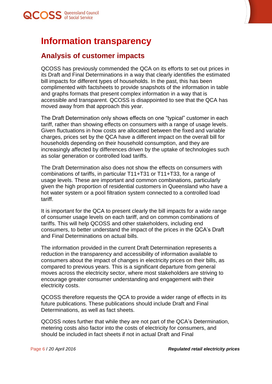

## <span id="page-5-0"></span>**Information transparency**

#### <span id="page-5-1"></span>**Analysis of customer impacts**

QCOSS has previously commended the QCA on its efforts to set out prices in its Draft and Final Determinations in a way that clearly identifies the estimated bill impacts for different types of households. In the past, this has been complimented with factsheets to provide snapshots of the information in table and graphs formats that present complex information in a way that is accessible and transparent. QCOSS is disappointed to see that the QCA has moved away from that approach this year.

The Draft Determination only shows effects on one "typical" customer in each tariff, rather than showing effects on consumers with a range of usage levels. Given fluctuations in how costs are allocated between the fixed and variable charges, prices set by the QCA have a different impact on the overall bill for households depending on their household consumption, and they are increasingly affected by differences driven by the uptake of technologies such as solar generation or controlled load tariffs.

The Draft Determination also does not show the effects on consumers with combinations of tariffs, in particular T11+T31 or T11+T33, for a range of usage levels. These are important and common combinations, particularly given the high proportion of residential customers in Queensland who have a hot water system or a pool filtration system connected to a controlled load tariff.

It is important for the QCA to present clearly the bill impacts for a wide range of consumer usage levels on each tariff, and on common combinations of tariffs. This will help QCOSS and other stakeholders, including end consumers, to better understand the impact of the prices in the QCA's Draft and Final Determinations on actual bills.

The information provided in the current Draft Determination represents a reduction in the transparency and accessibility of information available to consumers about the impact of changes in electricity prices on their bills, as compared to previous years. This is a significant departure from general moves across the electricity sector, where most stakeholders are striving to encourage greater consumer understanding and engagement with their electricity costs.

QCOSS therefore requests the QCA to provide a wider range of effects in its future publications. These publications should include Draft and Final Determinations, as well as fact sheets.

QCOSS notes further that while they are not part of the QCA's Determination, metering costs also factor into the costs of electricity for consumers, and should be included in fact sheets if not in actual Draft and Final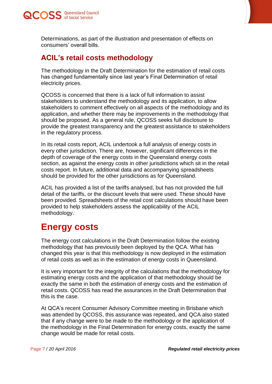



Determinations, as part of the illustration and presentation of effects on consumers' overall bills.

## <span id="page-6-0"></span>**ACIL's retail costs methodology**

The methodology in the Draft Determination for the estimation of retail costs has changed fundamentally since last year's Final Determination of retail electricity prices.

QCOSS is concerned that there is a lack of full information to assist stakeholders to understand the methodology and its application, to allow stakeholders to comment effectively on all aspects of the methodology and its application, and whether there may be improvements in the methodology that should be proposed. As a general rule, QCOSS seeks full disclosure to provide the greatest transparency and the greatest assistance to stakeholders in the regulatory process.

In its retail costs report, ACIL undertook a full analysis of energy costs in every other jurisdiction. There are, however, significant differences in the depth of coverage of the energy costs in the Queensland energy costs section, as against the energy costs in other jurisdictions which sit in the retail costs report. In future, additional data and accompanying spreadsheets should be provided for the other jurisdictions as for Queensland.

ACIL has provided a list of the tariffs analysed, but has not provided the full detail of the tariffs, or the discount levels that were used. These should have been provided. Spreadsheets of the retail cost calculations should have been provided to help stakeholders assess the applicability of the ACIL methodology.

## <span id="page-6-1"></span>**Energy costs**

The energy cost calculations in the Draft Determination follow the existing methodology that has previously been deployed by the QCA. What has changed this year is that this methodology is now deployed in the estimation of retail costs as well as in the estimation of energy costs in Queensland.

It is very important for the integrity of the calculations that the methodology for estimating energy costs and the application of that methodology should be exactly the same in both the estimation of energy costs and the estimation of retail costs. QCOSS has read the assurances in the Draft Determination that this is the case.

At QCA's recent Consumer Advisory Committee meeting in Brisbane which was attended by QCOSS, this assurance was repeated, and QCA also stated that if any change were to be made to the methodology or the application of the methodology in the Final Determination for energy costs, exactly the same change would be made for retail costs.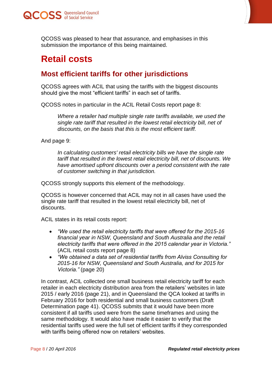



QCOSS was pleased to hear that assurance, and emphasises in this submission the importance of this being maintained.

## <span id="page-7-0"></span>**Retail costs**

## <span id="page-7-1"></span>**Most efficient tariffs for other jurisdictions**

QCOSS agrees with ACIL that using the tariffs with the biggest discounts should give the most "efficient tariffs" in each set of tariffs.

QCOSS notes in particular in the ACIL Retail Costs report page 8:

*Where a retailer had multiple single rate tariffs available, we used the single rate tariff that resulted in the lowest retail electricity bill, net of discounts, on the basis that this is the most efficient tariff.*

And page 9:

*In calculating customers' retail electricity bills we have the single rate tariff that resulted in the lowest retail electricity bill, net of discounts. We have amortised upfront discounts over a period consistent with the rate of customer switching in that jurisdiction.*

QCOSS strongly supports this element of the methodology.

QCOSS is however concerned that ACIL may not in all cases have used the single rate tariff that resulted in the lowest retail electricity bill, net of discounts.

ACIL states in its retail costs report:

- *"We used the retail electricity tariffs that were offered for the 2015-16 financial year in NSW, Queensland and South Australia and the retail electricity tariffs that were offered in the 2015 calendar year in Victoria."* (ACIL retail costs report page 8)
- *"We obtained a data set of residential tariffs from Alviss Consulting for 2015-16 for NSW, Queensland and South Australia, and for 2015 for Victoria."* (page 20)

In contrast, ACIL collected one small business retail electricity tariff for each retailer in each electricity distribution area from the retailers' websites in late 2015 / early 2016 (page 21), and in Queensland the QCA looked at tariffs in February 2016 for both residential and small business customers (Draft Determination page 41). QCOSS submits that it would have been more consistent if all tariffs used were from the same timeframes and using the same methodology. It would also have made it easier to verify that the residential tariffs used were the full set of efficient tariffs if they corresponded with tariffs being offered now on retailers' websites.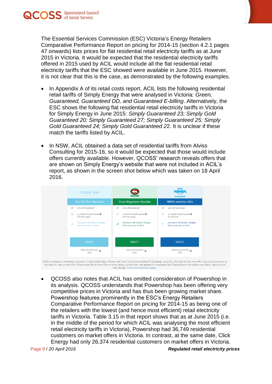

The Essential Services Commission (ESC) Victoria's Energy Retailers Comparative Performance Report on pricing for 2014-15 (section 4.2.1 pages 47 onwards) lists prices for flat residential retail electricity tariffs as at June 2015 in Victoria. It would be expected that the residential electricity tariffs offered in 2015 used by ACIL would include all the flat residential retail electricity tariffs that the ESC showed were available in June 2015. However, it is not clear that this is the case, as demonstrated by the following examples.

- In Appendix A of its retail costs report, ACIL lists the following residential retail tariffs of Simply Energy that were analysed in Victoria: *Green, Guaranteed, Guaranteed DD, and Guaranteed E-billing*. Alternatively, the ESC shows the following flat residential retail electricity tariffs in Victoria for Simply Energy in June 2015: *Simply Guaranteed 23; Simply Gold Guaranteed 20; Simply Guaranteed 27; Simply Guaranteed 25; Simply Gold Guaranteed 24; Simply Gold Guaranteed 2*2. It is unclear if these match the tariffs listed by ACIL.
- In NSW, ACIL obtained a data set of residential tariffs from Alviss Consulting for 2015-16, so it would be expected that those would include offers currently available. However, QCOSS' research reveals offers that are shown on Simply Energy's website that were not included in ACIL's report, as shown in the screen shot below which was taken on 18 April 2016.



#Offers available to residential customers in New South Wales. Please note that if you are an existing Simply Energy customer, the rates for this new offer may not be the same as the rates for your current offer. If you would like to view offers in other states, simply enter your postcode in the postcode field. Depending on the options you select, your discount may change. Terms and Conditions appl

 QCOSS also notes that ACIL has omitted consideration of Powershop in its analysis. QCOSS understands that Powershop has been offering very competitive prices in Victoria and has thus been growing market share. Powershop features prominently in the ESC's Energy Retailers Comparative Performance Report on pricing for 2014-15 as being one of the retailers with the lowest (and hence most efficient) retail electricity tariffs in Victoria. Table 3.15 in that report shows that as at June 2015 (i.e. in the middle of the period for which ACIL was analysing the most efficient retail electricity tariffs in Victoria), Powershop had 36,749 residential customers on market offers in Victoria. In contrast, at the same date, Click Energy had only 26,374 residential customers on market offers in Victoria.

Page 9 / *20 April 2016 Regulated retail electricity prices*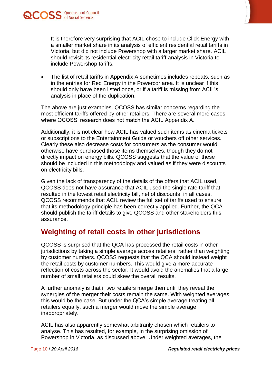



It is therefore very surprising that ACIL chose to include Click Energy with a smaller market share in its analysis of efficient residential retail tariffs in Victoria, but did not include Powershop with a larger market share. ACIL should revisit its residential electricity retail tariff analysis in Victoria to include Powershop tariffs.

• The list of retail tariffs in Appendix A sometimes includes repeats, such as in the entries for Red Energy in the Powercor area. It is unclear if this should only have been listed once, or if a tariff is missing from ACIL's analysis in place of the duplication.

The above are just examples. QCOSS has similar concerns regarding the most efficient tariffs offered by other retailers. There are several more cases where QCOSS' research does not match the ACIL Appendix A.

Additionally, it is not clear how ACIL has valued such items as cinema tickets or subscriptions to the Entertainment Guide or vouchers off other services. Clearly these also decrease costs for consumers as the consumer would otherwise have purchased those items themselves, though they do not directly impact on energy bills. QCOSS suggests that the value of these should be included in this methodology and valued as if they were discounts on electricity bills.

Given the lack of transparency of the details of the offers that ACIL used, QCOSS does not have assurance that ACIL used the single rate tariff that resulted in the lowest retail electricity bill, net of discounts, in all cases. QCOSS recommends that ACIL review the full set of tariffs used to ensure that its methodology principle has been correctly applied. Further, the QCA should publish the tariff details to give QCOSS and other stakeholders this assurance.

#### <span id="page-9-0"></span>**Weighting of retail costs in other jurisdictions**

QCOSS is surprised that the QCA has processed the retail costs in other jurisdictions by taking a simple average across retailers, rather than weighting by customer numbers. QCOSS requests that the QCA should instead weight the retail costs by customer numbers. This would give a more accurate reflection of costs across the sector. It would avoid the anomalies that a large number of small retailers could skew the overall results.

A further anomaly is that if two retailers merge then until they reveal the synergies of the merger their costs remain the same. With weighted averages, this would be the case. But under the QCA's simple average treating all retailers equally, such a merger would move the simple average inappropriately.

ACIL has also apparently somewhat arbitrarily chosen which retailers to analyse. This has resulted, for example, in the surprising omission of Powershop in Victoria, as discussed above. Under weighted averages, the